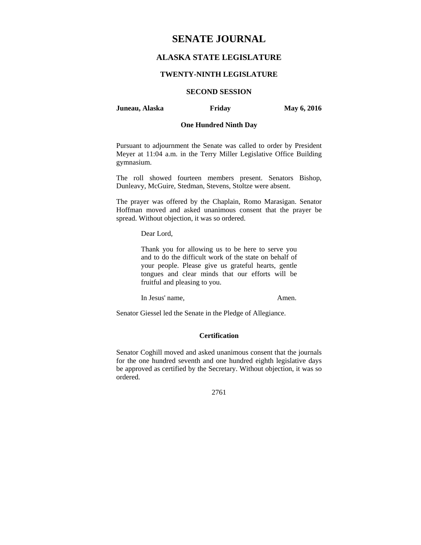# **SENATE JOURNAL**

## **ALASKA STATE LEGISLATURE**

## **TWENTY-NINTH LEGISLATURE**

## **SECOND SESSION**

#### **Juneau, Alaska Friday May 6, 2016**

## **One Hundred Ninth Day**

Pursuant to adjournment the Senate was called to order by President Meyer at 11:04 a.m. in the Terry Miller Legislative Office Building gymnasium.

The roll showed fourteen members present. Senators Bishop, Dunleavy, McGuire, Stedman, Stevens, Stoltze were absent.

The prayer was offered by the Chaplain, Romo Marasigan. Senator Hoffman moved and asked unanimous consent that the prayer be spread. Without objection, it was so ordered.

Dear Lord,

Thank you for allowing us to be here to serve you and to do the difficult work of the state on behalf of your people. Please give us grateful hearts, gentle tongues and clear minds that our efforts will be fruitful and pleasing to you.

In Jesus' name, Amen.

Senator Giessel led the Senate in the Pledge of Allegiance.

## **Certification**

Senator Coghill moved and asked unanimous consent that the journals for the one hundred seventh and one hundred eighth legislative days be approved as certified by the Secretary. Without objection, it was so ordered.

2761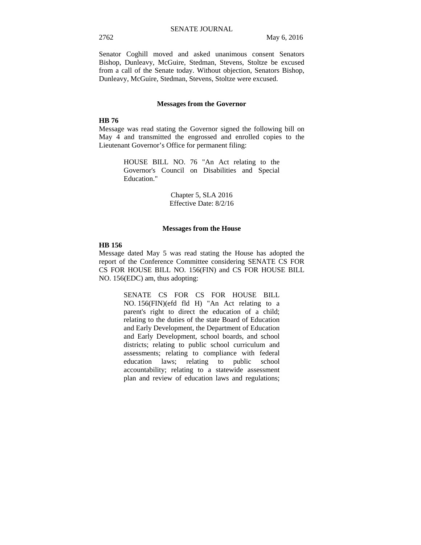Senator Coghill moved and asked unanimous consent Senators Bishop, Dunleavy, McGuire, Stedman, Stevens, Stoltze be excused from a call of the Senate today. Without objection, Senators Bishop, Dunleavy, McGuire, Stedman, Stevens, Stoltze were excused.

#### **Messages from the Governor**

#### **HB 76**

Message was read stating the Governor signed the following bill on May 4 and transmitted the engrossed and enrolled copies to the Lieutenant Governor's Office for permanent filing:

> HOUSE BILL NO. 76 "An Act relating to the Governor's Council on Disabilities and Special Education."

> > Chapter 5, SLA 2016 Effective Date: 8/2/16

#### **Messages from the House**

#### **HB 156**

Message dated May 5 was read stating the House has adopted the report of the Conference Committee considering SENATE CS FOR CS FOR HOUSE BILL NO. 156(FIN) and CS FOR HOUSE BILL NO. 156(EDC) am, thus adopting:

> SENATE CS FOR CS FOR HOUSE BILL NO. 156(FIN)(efd fld H) "An Act relating to a parent's right to direct the education of a child; relating to the duties of the state Board of Education and Early Development, the Department of Education and Early Development, school boards, and school districts; relating to public school curriculum and assessments; relating to compliance with federal education laws; relating to public school accountability; relating to a statewide assessment plan and review of education laws and regulations;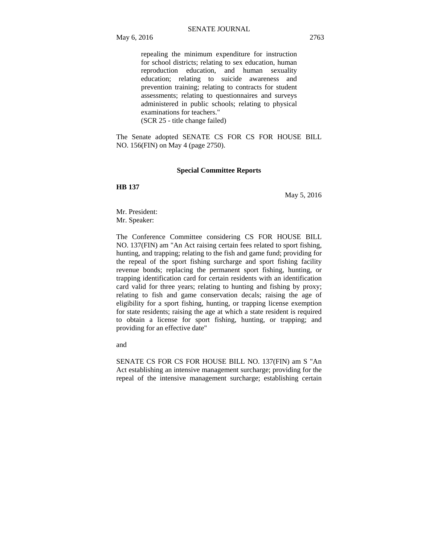repealing the minimum expenditure for instruction for school districts; relating to sex education, human reproduction education, and human sexuality education; relating to suicide awareness and prevention training; relating to contracts for student assessments; relating to questionnaires and surveys administered in public schools; relating to physical examinations for teachers." (SCR 25 - title change failed)

The Senate adopted SENATE CS FOR CS FOR HOUSE BILL NO. 156(FIN) on May 4 (page 2750).

## **Special Committee Reports**

**HB 137** 

May 5, 2016

Mr. President: Mr. Speaker:

The Conference Committee considering CS FOR HOUSE BILL NO. 137(FIN) am "An Act raising certain fees related to sport fishing, hunting, and trapping; relating to the fish and game fund; providing for the repeal of the sport fishing surcharge and sport fishing facility revenue bonds; replacing the permanent sport fishing, hunting, or trapping identification card for certain residents with an identification card valid for three years; relating to hunting and fishing by proxy; relating to fish and game conservation decals; raising the age of eligibility for a sport fishing, hunting, or trapping license exemption for state residents; raising the age at which a state resident is required to obtain a license for sport fishing, hunting, or trapping; and providing for an effective date"

and

SENATE CS FOR CS FOR HOUSE BILL NO. 137(FIN) am S "An Act establishing an intensive management surcharge; providing for the repeal of the intensive management surcharge; establishing certain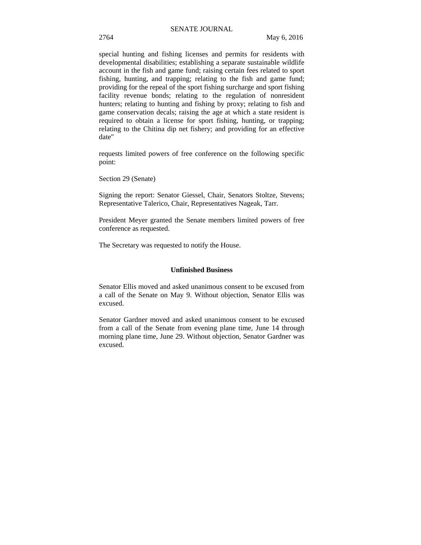special hunting and fishing licenses and permits for residents with developmental disabilities; establishing a separate sustainable wildlife account in the fish and game fund; raising certain fees related to sport fishing, hunting, and trapping; relating to the fish and game fund; providing for the repeal of the sport fishing surcharge and sport fishing facility revenue bonds; relating to the regulation of nonresident hunters; relating to hunting and fishing by proxy; relating to fish and game conservation decals; raising the age at which a state resident is required to obtain a license for sport fishing, hunting, or trapping; relating to the Chitina dip net fishery; and providing for an effective date"

requests limited powers of free conference on the following specific point:

Section 29 (Senate)

Signing the report: Senator Giessel, Chair, Senators Stoltze, Stevens; Representative Talerico, Chair, Representatives Nageak, Tarr.

President Meyer granted the Senate members limited powers of free conference as requested.

The Secretary was requested to notify the House.

## **Unfinished Business**

Senator Ellis moved and asked unanimous consent to be excused from a call of the Senate on May 9. Without objection, Senator Ellis was excused.

Senator Gardner moved and asked unanimous consent to be excused from a call of the Senate from evening plane time, June 14 through morning plane time, June 29. Without objection, Senator Gardner was excused.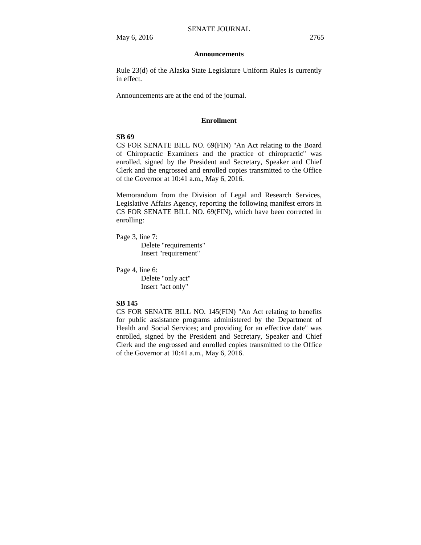#### **Announcements**

Rule 23(d) of the Alaska State Legislature Uniform Rules is currently in effect.

Announcements are at the end of the journal.

#### **Enrollment**

## **SB 69**

CS FOR SENATE BILL NO. 69(FIN) "An Act relating to the Board of Chiropractic Examiners and the practice of chiropractic" was enrolled, signed by the President and Secretary, Speaker and Chief Clerk and the engrossed and enrolled copies transmitted to the Office of the Governor at 10:41 a.m., May 6, 2016.

Memorandum from the Division of Legal and Research Services, Legislative Affairs Agency, reporting the following manifest errors in CS FOR SENATE BILL NO. 69(FIN), which have been corrected in enrolling:

Page 3, line 7:

Delete "requirements" Insert "requirement"

Page 4, line 6:

Delete "only act" Insert "act only"

#### **SB 145**

CS FOR SENATE BILL NO. 145(FIN) "An Act relating to benefits for public assistance programs administered by the Department of Health and Social Services; and providing for an effective date" was enrolled, signed by the President and Secretary, Speaker and Chief Clerk and the engrossed and enrolled copies transmitted to the Office of the Governor at 10:41 a.m., May 6, 2016.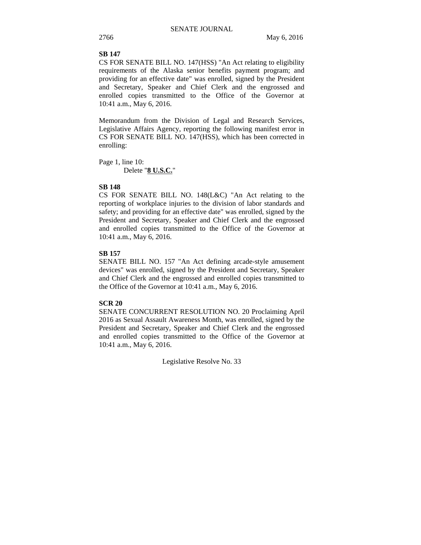## **SB 147**

CS FOR SENATE BILL NO. 147(HSS) "An Act relating to eligibility requirements of the Alaska senior benefits payment program; and providing for an effective date" was enrolled, signed by the President and Secretary, Speaker and Chief Clerk and the engrossed and enrolled copies transmitted to the Office of the Governor at 10:41 a.m., May 6, 2016.

Memorandum from the Division of Legal and Research Services, Legislative Affairs Agency, reporting the following manifest error in CS FOR SENATE BILL NO. 147(HSS), which has been corrected in enrolling:

Page 1, line 10: Delete "**8 U.S.C.**"

## **SB 148**

CS FOR SENATE BILL NO. 148(L&C) "An Act relating to the reporting of workplace injuries to the division of labor standards and safety; and providing for an effective date" was enrolled, signed by the President and Secretary, Speaker and Chief Clerk and the engrossed and enrolled copies transmitted to the Office of the Governor at 10:41 a.m., May 6, 2016.

## **SB 157**

SENATE BILL NO. 157 "An Act defining arcade-style amusement devices" was enrolled, signed by the President and Secretary, Speaker and Chief Clerk and the engrossed and enrolled copies transmitted to the Office of the Governor at 10:41 a.m., May 6, 2016.

## **SCR 20**

SENATE CONCURRENT RESOLUTION NO. 20 Proclaiming April 2016 as Sexual Assault Awareness Month, was enrolled, signed by the President and Secretary, Speaker and Chief Clerk and the engrossed and enrolled copies transmitted to the Office of the Governor at 10:41 a.m., May 6, 2016.

Legislative Resolve No. 33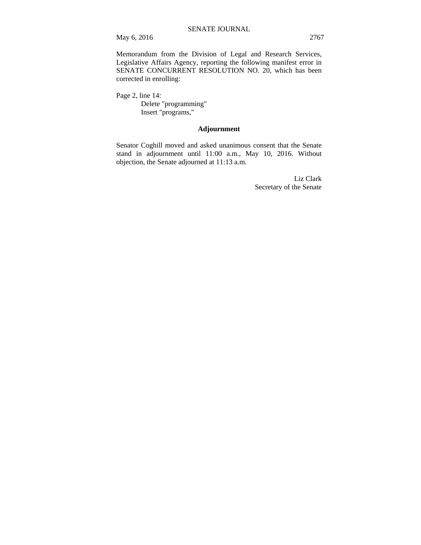May 6, 2016 2767

Memorandum from the Division of Legal and Research Services, Legislative Affairs Agency, reporting the following manifest error in SENATE CONCURRENT RESOLUTION NO. 20, which has been corrected in enrolling:

Page 2, line 14: Delete "programming" Insert "programs,"

## **Adjournment**

Senator Coghill moved and asked unanimous consent that the Senate stand in adjournment until 11:00 a.m., May 10, 2016. Without objection, the Senate adjourned at 11:13 a.m.

> Liz Clark Secretary of the Senate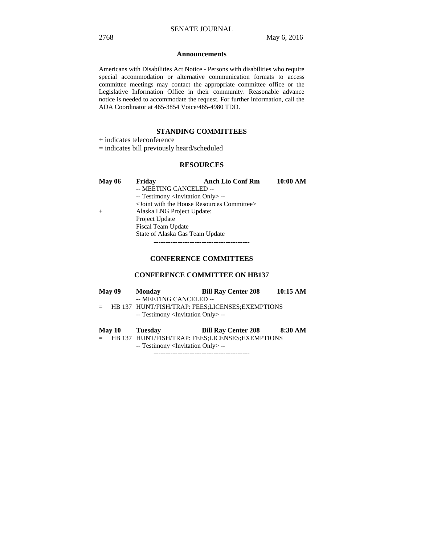#### **Announcements**

Americans with Disabilities Act Notice - Persons with disabilities who require special accommodation or alternative communication formats to access committee meetings may contact the appropriate committee office or the Legislative Information Office in their community. Reasonable advance notice is needed to accommodate the request. For further information, call the ADA Coordinator at 465-3854 Voice/465-4980 TDD.

## **STANDING COMMITTEES**

+ indicates teleconference

= indicates bill previously heard/scheduled

## **RESOURCES**

| <b>May 06</b> | Friday                                            | <b>Anch Lio Conf Rm</b> | 10:00 AM |
|---------------|---------------------------------------------------|-------------------------|----------|
|               | -- MEETING CANCELED --                            |                         |          |
|               | -- Testimony <invitation only=""> --</invitation> |                         |          |
|               | $\le$ Joint with the House Resources Committee>   |                         |          |
| $+$           | Alaska LNG Project Update:                        |                         |          |
|               | Project Update                                    |                         |          |
|               | Fiscal Team Update                                |                         |          |
|               | State of Alaska Gas Team Update                   |                         |          |
|               |                                                   |                         |          |

## **CONFERENCE COMMITTEES**

## **CONFERENCE COMMITTEE ON HB137**

| <b>May 09</b> | <b>Monday</b>                                     | <b>Bill Ray Center 208</b>                      | 10:15 AM |
|---------------|---------------------------------------------------|-------------------------------------------------|----------|
|               | -- MEETING CANCELED --                            |                                                 |          |
|               |                                                   | HB 137 HUNT/FISH/TRAP: FEES;LICENSES;EXEMPTIONS |          |
|               | -- Testimony <invitation only=""> --</invitation> |                                                 |          |
|               |                                                   |                                                 |          |
|               |                                                   |                                                 |          |
| <b>May 10</b> | Tuesday                                           | <b>Bill Ray Center 208</b>                      | 8:30 AM  |
|               |                                                   | HB 137 HUNT/FISH/TRAP: FEES;LICENSES;EXEMPTIONS |          |
|               | -- Testimony <invitation only=""> --</invitation> |                                                 |          |